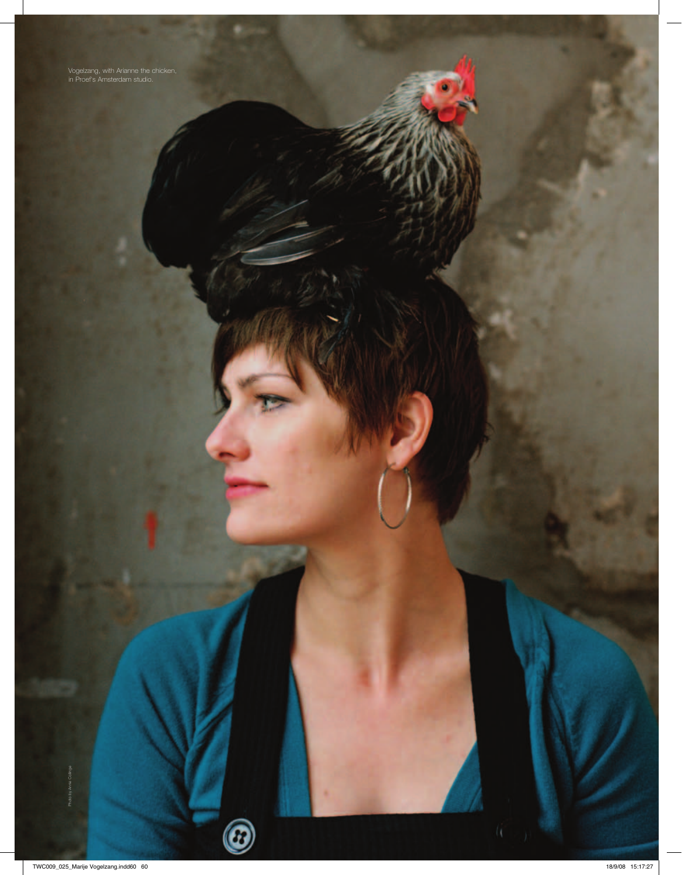Vogelzang, with Arianne the chicken, in Proef's Amsterdam studio.

 $\circledR$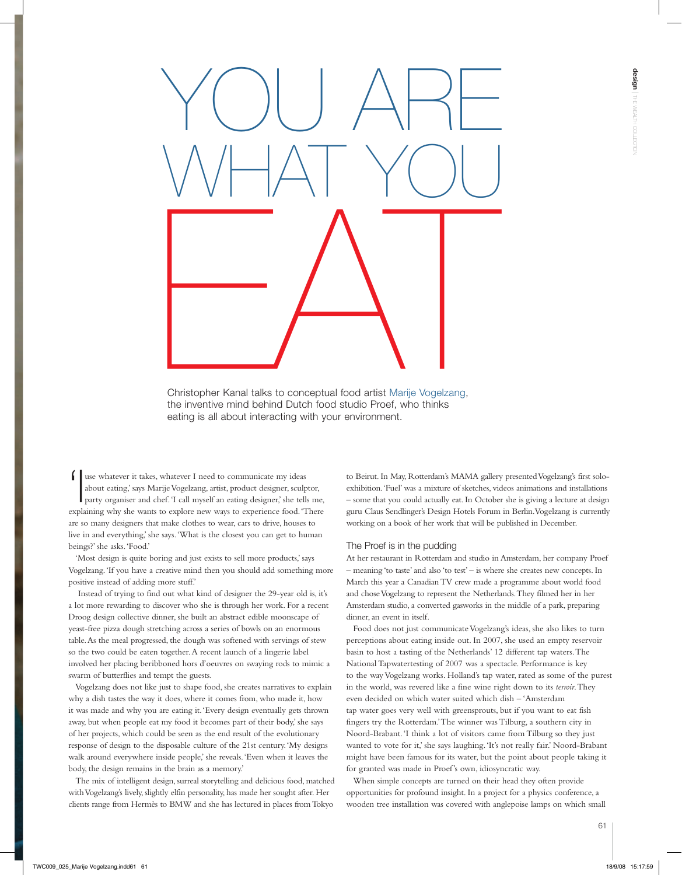

Christopher Kanal talks to conceptual food artist Marije Vogelzang, the inventive mind behind Dutch food studio Proef, who thinks eating is all about interacting with your environment.

'I use whatever it takes, whatever I need to communicate my ideas about eating,' says Marije Vogelzang, artist, product designer, sculptor, party organiser and chef. 'I call myself an eating designer,' she tells me, explaining why she wants to explore new ways to experience food. 'There are so many designers that make clothes to wear, cars to drive, houses to live in and everything,' she says. 'What is the closest you can get to human beings?' she asks. 'Food.'

'Most design is quite boring and just exists to sell more products,' says Vogelzang. 'If you have a creative mind then you should add something more positive instead of adding more stuff.'

 Instead of trying to find out what kind of designer the 29-year old is, it's a lot more rewarding to discover who she is through her work. For a recent Droog design collective dinner, she built an abstract edible moonscape of yeast-free pizza dough stretching across a series of bowls on an enormous table. As the meal progressed, the dough was softened with servings of stew so the two could be eaten together. A recent launch of a lingerie label involved her placing beribboned hors d'oeuvres on swaying rods to mimic a swarm of butterflies and tempt the guests.

Vogelzang does not like just to shape food, she creates narratives to explain why a dish tastes the way it does, where it comes from, who made it, how it was made and why you are eating it. 'Every design eventually gets thrown away, but when people eat my food it becomes part of their body,' she says of her projects, which could be seen as the end result of the evolutionary response of design to the disposable culture of the 21st century. 'My designs walk around everywhere inside people,' she reveals. 'Even when it leaves the body, the design remains in the brain as a memory.'

The mix of intelligent design, surreal storytelling and delicious food, matched with Vogelzang's lively, slightly elfin personality, has made her sought after. Her clients range from Hermès to BMW and she has lectured in places from Tokyo to Beirut. In May, Rotterdam's MAMA gallery presented Vogelzang's first soloexhibition. 'Fuel' was a mixture of sketches, videos animations and installations – some that you could actually eat. In October she is giving a lecture at design guru Claus Sendlinger's Design Hotels Forum in Berlin. Vogelzang is currently working on a book of her work that will be published in December.

## The Proef is in the pudding

At her restaurant in Rotterdam and studio in Amsterdam, her company Proef – meaning 'to taste' and also 'to test' – is where she creates new concepts. In March this year a Canadian TV crew made a programme about world food and chose Vogelzang to represent the Netherlands. They filmed her in her Amsterdam studio, a converted gasworks in the middle of a park, preparing dinner, an event in itself.

Food does not just communicate Vogelzang's ideas, she also likes to turn perceptions about eating inside out. In 2007, she used an empty reservoir basin to host a tasting of the Netherlands' 12 different tap waters. The National Tapwatertesting of 2007 was a spectacle. Performance is key to the way Vogelzang works. Holland's tap water, rated as some of the purest in the world, was revered like a fine wine right down to its *terroir*. They even decided on which water suited which dish – 'Amsterdam tap water goes very well with greensprouts, but if you want to eat fish fingers try the Rotterdam.' The winner was Tilburg, a southern city in Noord-Brabant. 'I think a lot of visitors came from Tilburg so they just wanted to vote for it,' she says laughing. 'It's not really fair.' Noord-Brabant might have been famous for its water, but the point about people taking it for granted was made in Proef's own, idiosyncratic way.

When simple concepts are turned on their head they often provide opportunities for profound insight. In a project for a physics conference, a wooden tree installation was covered with anglepoise lamps on which small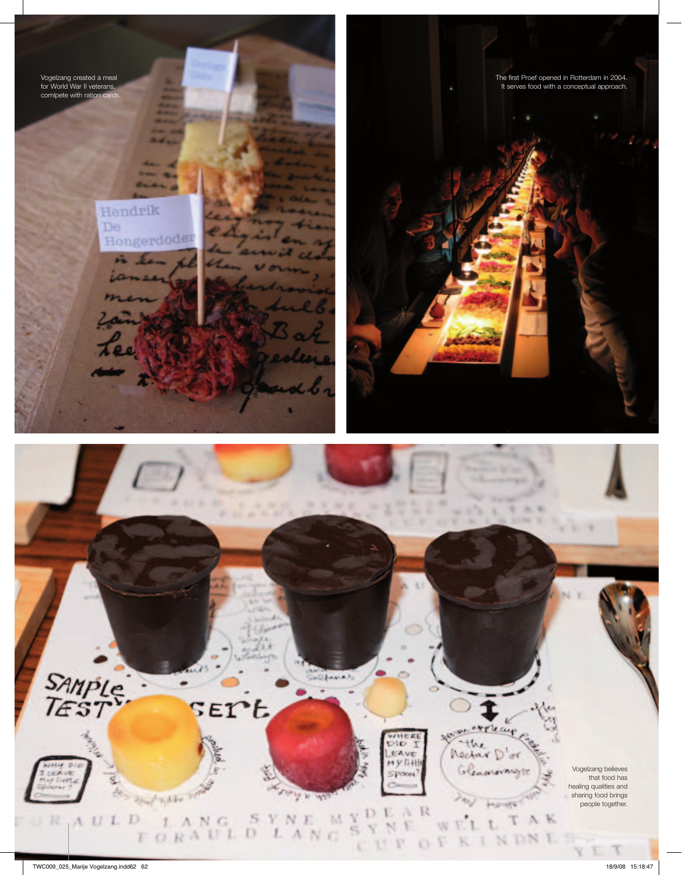design and wealth collection and design the wealth collection in the wealth collection and design the wealth collection and collection and collection and collection and collection and collection and collection and collecti Vogelzang created a meal for World War II veterans, comlpete with ration cards.

The first Proef opened in Rotterdam in 2004. It serves food with a conceptual approach.

Hendrik De Hongerdoder  $12.54$